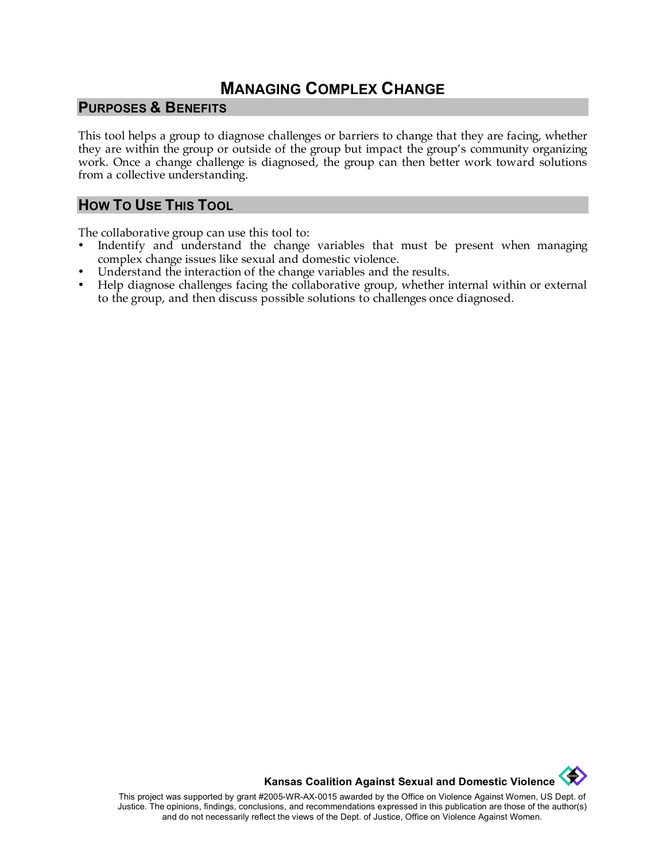# **MANAGING COMPLEX CHANGE**

#### **PURPOSES & BENEFITS**

This tool helps a group to diagnose challenges or barriers to change that they are facing, whether they are within the group or outside of the group but impact the group's community organizing work. Once a change challenge is diagnosed, the group can then better work toward solutions from a collective understanding.

#### **HOW TO USE THIS TOOL**

The collaborative group can use this tool to:

- Indentify and understand the change variables that must be present when managing complex change issues like sexual and domestic violence.
- Understand the interaction of the change variables and the results.
- Help diagnose challenges facing the collaborative group, whether internal within or external to the group, and then discuss possible solutions to challenges once diagnosed.

**Kansas Coalition Against Sexual and Domestic Violence** 

This project was supported by grant #2005-WR-AX-0015 awarded by the Office on Violence Against Women, US Dept. of Justice. The opinions, findings, conclusions, and recommendations expressed in this publication are those of the author(s) and do not necessarily reflect the views of the Dept. of Justice, Office on Violence Against Women.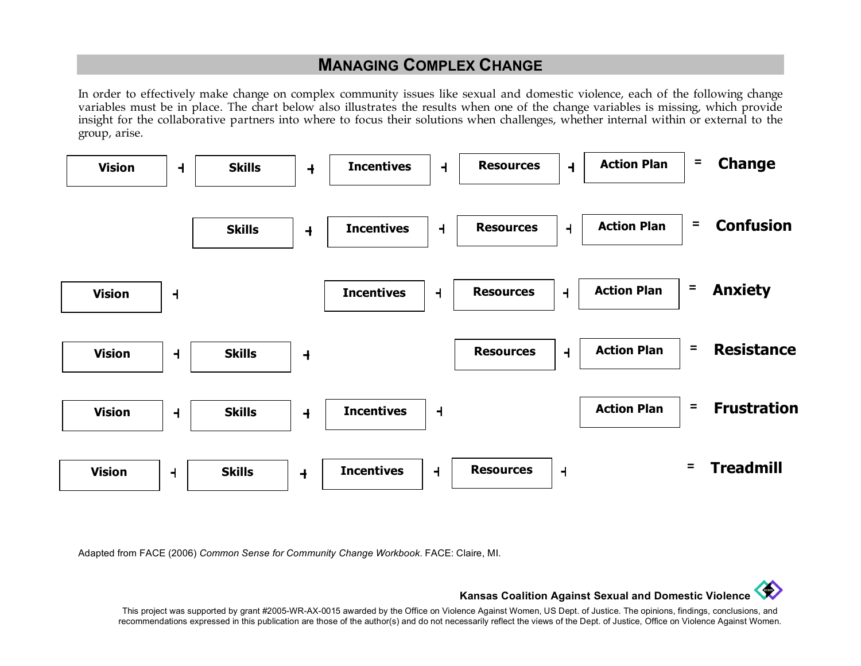# **MANAGING COMPLEX CHANGE**

In order to effectively make change on complex community issues like sexual and domestic violence, each of the following change variables must be in place. The chart below also illustrates the results when one of the change variables is missing, which provide insight for the collaborative partners into where to focus their solutions when challenges, whether internal within or external to the group, arise.



Adapted from FACE (2006) *Common Sense for Community Change Workbook*. FACE: Claire, MI.



This project was supported by grant #2005-WR-AX-0015 awarded by the Office on Violence Against Women, US Dept. of Justice. The opinions, findings, conclusions, and recommendations expressed in this publication are those of the author(s) and do not necessarily reflect the views of the Dept. of Justice, Office on Violence Against Women.